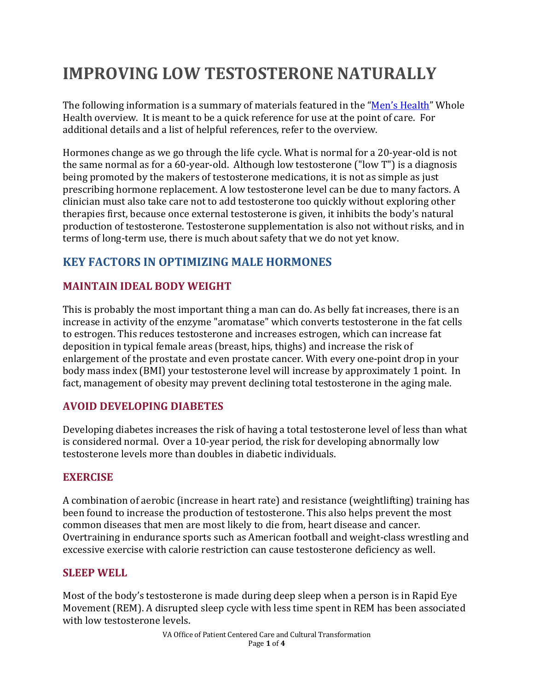# **IMPROVING LOW TESTOSTERONE NATURALLY**

The following information is a summary of materials featured in the ["Men's Health"](https://wholehealth.wisc.edu/overviews/mens-health/) Whole Health overview. It is meant to be a quick reference for use at the point of care. For additional details and a list of helpful references, refer to the overview.

Hormones change as we go through the life cycle. What is normal for a 20-year-old is not the same normal as for a 60-year-old. Although low testosterone ("low T") is a diagnosis being promoted by the makers of testosterone medications, it is not as simple as just prescribing hormone replacement. A low testosterone level can be due to many factors. A clinician must also take care not to add testosterone too quickly without exploring other therapies first, because once external testosterone is given, it inhibits the body's natural production of testosterone. Testosterone supplementation is also not without risks, and in terms of long-term use, there is much about safety that we do not yet know.

# **KEY FACTORS IN OPTIMIZING MALE HORMONES**

# **MAINTAIN IDEAL BODY WEIGHT**

This is probably the most important thing a man can do. As belly fat increases, there is an increase in activity of the enzyme "aromatase" which converts testosterone in the fat cells to estrogen. This reduces testosterone and increases estrogen, which can increase fat deposition in typical female areas (breast, hips, thighs) and increase the risk of enlargement of the prostate and even prostate cancer. With every one-point drop in your body mass index (BMI) your testosterone level will increase by approximately 1 point. In fact, management of obesity may prevent declining total testosterone in the aging male.

# **AVOID DEVELOPING DIABETES**

Developing diabetes increases the risk of having a total testosterone level of less than what is considered normal. Over a 10-year period, the risk for developing abnormally low testosterone levels more than doubles in diabetic individuals.

## **EXERCISE**

A combination of aerobic (increase in heart rate) and resistance (weightlifting) training has been found to increase the production of testosterone. This also helps prevent the most common diseases that men are most likely to die from, heart disease and cancer. Overtraining in endurance sports such as American football and weight-class wrestling and excessive exercise with calorie restriction can cause testosterone deficiency as well.

#### **SLEEP WELL**

Most of the body's testosterone is made during deep sleep when a person is in Rapid Eye Movement (REM). A disrupted sleep cycle with less time spent in REM has been associated with low testosterone levels.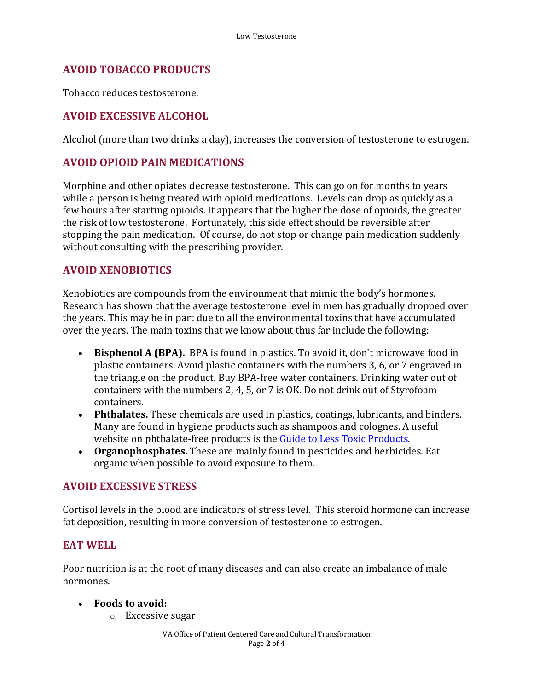## **AVOID TOBACCO PRODUCTS**

Tobacco reduces testosterone.

# **AVOID EXCESSIVE ALCOHOL**

Alcohol (more than two drinks a day), increases the conversion of testosterone to estrogen.

## **AVOID OPIOID PAIN MEDICATIONS**

Morphine and other opiates decrease testosterone. This can go on for months to years while a person is being treated with opioid medications. Levels can drop as quickly as a few hours after starting opioids. It appears that the higher the dose of opioids, the greater the risk of low testosterone. Fortunately, this side effect should be reversible after stopping the pain medication. Of course, do not stop or change pain medication suddenly without consulting with the prescribing provider.

## **AVOID XENOBIOTICS**

Xenobiotics are compounds from the environment that mimic the body's hormones. Research has shown that the average testosterone level in men has gradually dropped over the years. This may be in part due to all the environmental toxins that have accumulated over the years. The main toxins that we know about thus far include the following:

- **Bisphenol A (BPA).** BPA is found in plastics. To avoid it, don't microwave food in plastic containers. Avoid plastic containers with the numbers 3, 6, or 7 engraved in the triangle on the product. Buy BPA-free water containers. Drinking water out of containers with the numbers 2, 4, 5, or 7 is OK. Do not drink out of Styrofoam containers.
- **Phthalates.** These chemicals are used in plastics, coatings, lubricants, and binders. Many are found in hygiene products such as shampoos and colognes. A useful website on phthalate-free products is the [Guide to Less Toxic Products.](http://lesstoxicguide.ca/)
- **Organophosphates.** These are mainly found in pesticides and herbicides. Eat organic when possible to avoid exposure to them.

#### **AVOID EXCESSIVE STRESS**

Cortisol levels in the blood are indicators of stress level. This steroid hormone can increase fat deposition, resulting in more conversion of testosterone to estrogen.

## **EAT WELL**

Poor nutrition is at the root of many diseases and can also create an imbalance of male hormones.

#### • **Foods to avoid:**

o Excessive sugar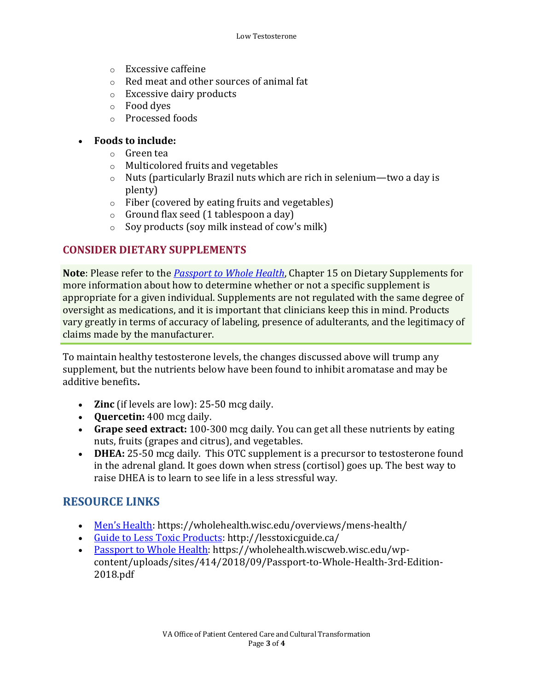- o Excessive caffeine
- o Red meat and other sources of animal fat
- o Excessive dairy products
- o Food dyes
- o Processed foods

#### • **Foods to include:**

- o Green tea
- o Multicolored fruits and vegetables
- o Nuts (particularly Brazil nuts which are rich in selenium—two a day is plenty)
- o Fiber (covered by eating fruits and vegetables)
- o Ground flax seed (1 tablespoon a day)
- $\circ$  Soy products (soy milk instead of cow's milk)

#### **CONSIDER DIETARY SUPPLEMENTS**

**Note**: Please refer to the *[Passport to Whole Health](https://wholehealth.wiscweb.wisc.edu/wp-content/uploads/sites/414/2018/09/Passport-to-Whole-Health-3rd-Edition-2018.pdf)*, Chapter 15 on Dietary Supplements for more information about how to determine whether or not a specific supplement is appropriate for a given individual. Supplements are not regulated with the same degree of oversight as medications, and it is important that clinicians keep this in mind. Products vary greatly in terms of accuracy of labeling, presence of adulterants, and the legitimacy of claims made by the manufacturer.

To maintain healthy testosterone levels, the changes discussed above will trump any supplement, but the nutrients below have been found to inhibit aromatase and may be additive benefits**.** 

- **Zinc** (if levels are low): 25-50 mcg daily.
- **Quercetin:** 400 mcg daily.
- **Grape seed extract:** 100-300 mcg daily. You can get all these nutrients by eating nuts, fruits (grapes and citrus), and vegetables.
- **DHEA:** 25-50 mcg daily. This OTC supplement is a precursor to testosterone found in the adrenal gland. It goes down when stress (cortisol) goes up. The best way to raise DHEA is to learn to see life in a less stressful way.

## **RESOURCE LINKS**

- [Men's Health:](https://wholehealth.wisc.edu/overviews/mens-health/) https://wholehealth.wisc.edu/overviews/mens-health/
- [Guide to Less Toxic Products: http://lesstoxicguide.ca/](http://lesstoxicguide.ca/)
- [Passport to Whole Health:](https://wholehealth.wiscweb.wisc.edu/wp-content/uploads/sites/414/2018/09/Passport-to-Whole-Health-3rd-Edition-2018.pdf) https://wholehealth.wiscweb.wisc.edu/wpcontent/uploads/sites/414/2018/09/Passport-to-Whole-Health-3rd-Edition-2018.pdf